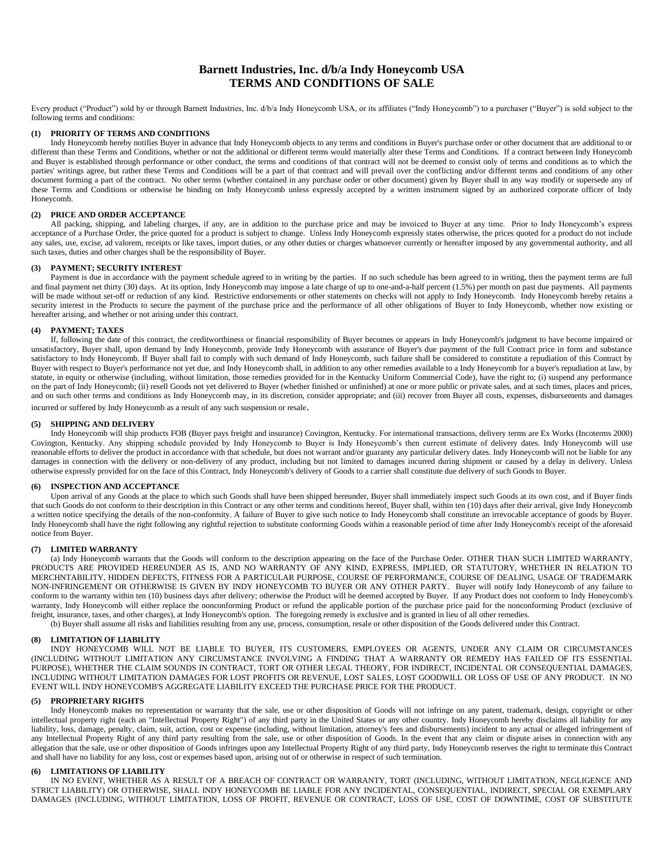# **Barnett Industries, Inc. d/b/a Indy Honeycomb USA TERMS AND CONDITIONS OF SALE**

Every product ("Product") sold by or through Barnett Industries, Inc. d/b/a Indy Honeycomb USA, or its affiliates ("Indy Honeycomb") to a purchaser ("Buyer") is sold subject to the following terms and conditions:

## **(1) PRIORITY OF TERMS AND CONDITIONS**

Indy Honeycomb hereby notifies Buyer in advance that Indy Honeycomb objects to any terms and conditions in Buyer's purchase order or other document that are additional to or different than these Terms and Conditions, whether or not the additional or different terms would materially alter these Terms and Conditions. If a contract between Indy Honeycomb and Buyer is established through performance or other conduct, the terms and conditions of that contract will not be deemed to consist only of terms and conditions as to which the parties' writings agree, but rather these Terms and Conditions will be a part of that contract and will prevail over the conflicting and/or different terms and conditions of any other document forming a part of the contract. No other terms (whether contained in any purchase order or other document) given by Buyer shall in any way modify or supersede any of these Terms and Conditions or otherwise be binding on Indy Honeycomb unless expressly accepted by a written instrument signed by an authorized corporate officer of Indy Honeycomb.

## **(2) PRICE AND ORDER ACCEPTANCE**

All packing, shipping, and labeling charges, if any, are in addition to the purchase price and may be invoiced to Buyer at any time. Prior to Indy Honeycomb's express acceptance of a Purchase Order, the price quoted for a product is subject to change. Unless Indy Honeycomb expressly states otherwise, the prices quoted for a product do not include any sales, use, excise, ad valorem, receipts or like taxes, import duties, or any other duties or charges whatsoever currently or hereafter imposed by any governmental authority, and all such taxes, duties and other charges shall be the responsibility of Buyer.

## **(3) PAYMENT; SECURITY INTEREST**

Payment is due in accordance with the payment schedule agreed to in writing by the parties. If no such schedule has been agreed to in writing, then the payment terms are full and final payment net thirty (30) days. At its option, Indy Honeycomb may impose a late charge of up to one-and-a-half percent (1.5%) per month on past due payments. All payments will be made without set-off or reduction of any kind. Restrictive endorsements or other statements on checks will not apply to Indy Honeycomb. Indy Honeycomb hereby retains a security interest in the Products to secure the payment of the purchase price and the performance of all other obligations of Buyer to Indy Honeycomb, whether now existing or hereafter arising, and whether or not arising under this contract.

## **(4) PAYMENT; TAXES**

If, following the date of this contract, the creditworthiness or financial responsibility of Buyer becomes or appears in Indy Honeycomb's judgment to have become impaired or unsatisfactory, Buyer shall, upon demand by Indy Honeycomb, provide Indy Honeycomb with assurance of Buyer's due payment of the full Contract price in form and substance satisfactory to Indy Honeycomb. If Buyer shall fail to comply with such demand of Indy Honeycomb, such failure shall be considered to constitute a repudiation of this Contract by Buyer with respect to Buyer's performance not yet due, and Indy Honeycomb shall, in addition to any other remedies available to a Indy Honeycomb for a buyer's repudiation at law, by statute, in equity or otherwise (including, without limitation, those remedies provided for in the Kentucky Uniform Commercial Code), have the right to; (i) suspend any performance on the part of Indy Honeycomb; (ii) resell Goods not yet delivered to Buyer (whether finished or unfinished) at one or more public or private sales, and at such times, places and prices, and on such other terms and conditions as Indy Honeycomb may, in its discretion, consider appropriate; and (iii) recover from Buyer all costs, expenses, disbursements and damages incurred or suffered by Indy Honeycomb as a result of any such suspension or resale.

#### **(5) SHIPPING AND DELIVERY**

Indy Honeycomb will ship products FOB (Buyer pays freight and insurance) Covington, Kentucky. For international transactions, delivery terms are Ex Works (Incoterms 2000) Covington, Kentucky. Any shipping schedule provided by Indy Honeycomb to Buyer is Indy Honeycomb's then current estimate of delivery dates. Indy Honeycomb will use reasonable efforts to deliver the product in accordance with that schedule, but does not warrant and/or guaranty any particular delivery dates. Indy Honeycomb will not be liable for any damages in connection with the delivery or non-delivery of any product, including but not limited to damages incurred during shipment or caused by a delay in delivery. Unless otherwise expressly provided for on the face of this Contract, Indy Honeycomb's delivery of Goods to a carrier shall constitute due delivery of such Goods to Buyer.

#### **(6) INSPECTION AND ACCEPTANCE**

Upon arrival of any Goods at the place to which such Goods shall have been shipped hereunder, Buyer shall immediately inspect such Goods at its own cost, and if Buyer finds that such Goods do not conform to their description in this Contract or any other terms and conditions hereof, Buyer shall, within ten (10) days after their arrival, give Indy Honeycomb a written notice specifying the details of the non-conformity. A failure of Buyer to give such notice to Indy Honeycomb shall constitute an irrevocable acceptance of goods by Buyer. Indy Honeycomb shall have the right following any rightful rejection to substitute conforming Goods within a reasonable period of time after Indy Honeycomb's receipt of the aforesaid notice from Buyer.

## **(7) LIMITED WARRANTY**

(a) Indy Honeycomb warrants that the Goods will conform to the description appearing on the face of the Purchase Order. OTHER THAN SUCH LIMITED WARRANTY, PRODUCTS ARE PROVIDED HEREUNDER AS IS, AND NO WARRANTY OF ANY KIND, EXPRESS, IMPLIED, OR STATUTORY, WHETHER IN RELATION TO MERCHNTABILITY, HIDDEN DEFECTS, FITNESS FOR A PARTICULAR PURPOSE, COURSE OF PERFORMANCE, COURSE OF DEALING, USAGE OF TRADEMARK NON-INFRINGEMENT OR OTHERWISE IS GIVEN BY INDY HONEYCOMB TO BUYER OR ANY OTHER PARTY. Buyer will notify Indy Honeycomb of any failure to conform to the warranty within ten (10) business days after delivery; otherwise the Product will be deemed accepted by Buyer. If any Product does not conform to Indy Honeycomb's warranty, Indy Honeycomb will either replace the nonconforming Product or refund the applicable portion of the purchase price paid for the nonconforming Product (exclusive of freight, insurance, taxes, and other charges), at Indy Honeycomb's option. The foregoing remedy is exclusive and is granted in lieu of all other remedies.

(b) Buyer shall assume all risks and liabilities resulting from any use, process, consumption, resale or other disposition of the Goods delivered under this Contract.

### **(8) LIMITATION OF LIABILITY**

INDY HONEYCOMB WILL NOT BE LIABLE TO BUYER, ITS CUSTOMERS, EMPLOYEES OR AGENTS, UNDER ANY CLAIM OR CIRCUMSTANCES (INCLUDING WITHOUT LIMITATION ANY CIRCUMSTANCE INVOLVING A FINDING THAT A WARRANTY OR REMEDY HAS FAILED OF ITS ESSENTIAL PURPOSE), WHETHER THE CLAIM SOUNDS IN CONTRACT, TORT OR OTHER LEGAL THEORY, FOR INDIRECT, INCIDENTAL OR CONSEQUENTIAL DAMAGES, INCLUDING WITHOUT LIMITATION DAMAGES FOR LOST PROFITS OR REVENUE, LOST SALES, LOST GOODWILL OR LOSS OF USE OF ANY PRODUCT. IN NO EVENT WILL INDY HONEYCOMB'S AGGREGATE LIABILITY EXCEED THE PURCHASE PRICE FOR THE PRODUCT.

## **(5) PROPRIETARY RIGHTS**

Indy Honeycomb makes no representation or warranty that the sale, use or other disposition of Goods will not infringe on any patent, trademark, design, copyright or other intellectual property right (each an "Intellectual Property Right") of any third party in the United States or any other country. Indy Honeycomb hereby disclaims all liability for any liability, loss, damage, penalty, claim, suit, action, cost or expense (including, without limitation, attorney's fees and disbursements) incident to any actual or alleged infringement of any Intellectual Property Right of any third party resulting from the sale, use or other disposition of Goods. In the event that any claim or dispute arises in connection with any allegation that the sale, use or other disposition of Goods infringes upon any Intellectual Property Right of any third party, Indy Honeycomb reserves the right to terminate this Contract and shall have no liability for any loss, cost or expenses based upon, arising out of or otherwise in respect of such termination.

## **(6) LIMITATIONS OF LIABILITY**

IN NO EVENT, WHETHER AS A RESULT OF A BREACH OF CONTRACT OR WARRANTY, TORT (INCLUDING, WITHOUT LIMITATION, NEGLIGENCE AND STRICT LIABILITY) OR OTHERWISE, SHALL INDY HONEYCOMB BE LIABLE FOR ANY INCIDENTAL, CONSEQUENTIAL, INDIRECT, SPECIAL OR EXEMPLARY DAMAGES (INCLUDING, WITHOUT LIMITATION, LOSS OF PROFIT, REVENUE OR CONTRACT, LOSS OF USE, COST OF DOWNTIME, COST OF SUBSTITUTE